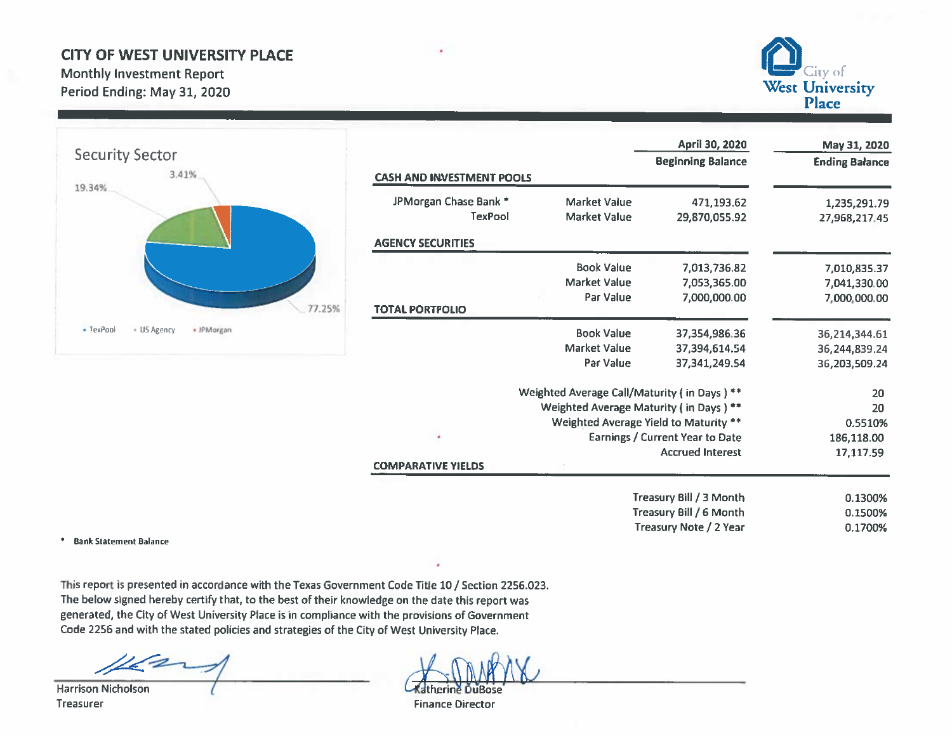## **CITY OF WEST UNIVERSITY PLACE**

**Monthly Investment Report** Period Ending: May 31, 2020



| <b>Security Sector</b>                 |                                         |                                             | April 30, 2020<br><b>Beginning Balance</b> | May 31, 2020<br><b>Ending Balance</b> |
|----------------------------------------|-----------------------------------------|---------------------------------------------|--------------------------------------------|---------------------------------------|
| 3.41%                                  | <b>CASH AND INVESTMENT POOLS</b>        |                                             |                                            |                                       |
| 19.34%                                 | JPMorgan Chase Bank *<br><b>TexPool</b> | <b>Market Value</b><br><b>Market Value</b>  | 471,193.62<br>29,870,055.92                | 1,235,291.79<br>27,968,217.45         |
|                                        | <b>AGENCY SECURITIES</b>                |                                             |                                            |                                       |
|                                        |                                         | <b>Book Value</b>                           | 7,013,736.82                               | 7,010,835.37                          |
|                                        |                                         | <b>Market Value</b>                         | 7,053,365.00                               | 7,041,330.00                          |
|                                        | 77.25%<br><b>TOTAL PORTFOLIO</b>        | Par Value                                   | 7,000,000.00                               | 7,000,000.00                          |
|                                        |                                         |                                             |                                            |                                       |
| - TexPool<br>- US Agency<br>· IPMorgan |                                         | <b>Book Value</b>                           | 37,354,986.36                              | 36,214,344.61                         |
|                                        |                                         | <b>Market Value</b>                         | 37,394,614.54                              | 36,244,839.24                         |
|                                        |                                         | Par Value                                   | 37, 341, 249. 54                           | 36,203,509.24                         |
|                                        |                                         | Weighted Average Call/Maturity (in Days) ** |                                            | 20                                    |
|                                        |                                         | Weighted Average Maturity (in Days) **      |                                            | 20                                    |
|                                        |                                         | Weighted Average Yield to Maturity **       |                                            | 0.5510%                               |
|                                        | ٠                                       |                                             | <b>Earnings / Current Year to Date</b>     | 186,118.00                            |
|                                        |                                         |                                             | <b>Accrued Interest</b>                    | 17,117.59                             |
|                                        | <b>COMPARATIVE YIELDS</b>               |                                             |                                            |                                       |
|                                        |                                         |                                             | Treasury Bill / 3 Month                    | 0.1300%                               |
|                                        |                                         |                                             | Treasury Bill / 6 Month                    | 0.1500%                               |
|                                        |                                         |                                             | Treasury Note / 2 Year                     | 0.1700%                               |

\* Bank Statement Balance

This report is presented in accordance with the Texas Government Code Title 10 / Section 2256.023. The below signed hereby certify that, to the best of their knowledge on the date this report was generated, the City of West University Place is in compliance with the provisions of Government Code 2256 and with the stated policies and strategies of the City of West University Place.

**Harrison Nicholson** Treasurer

**Catherine DuBose** 

**Finance Director**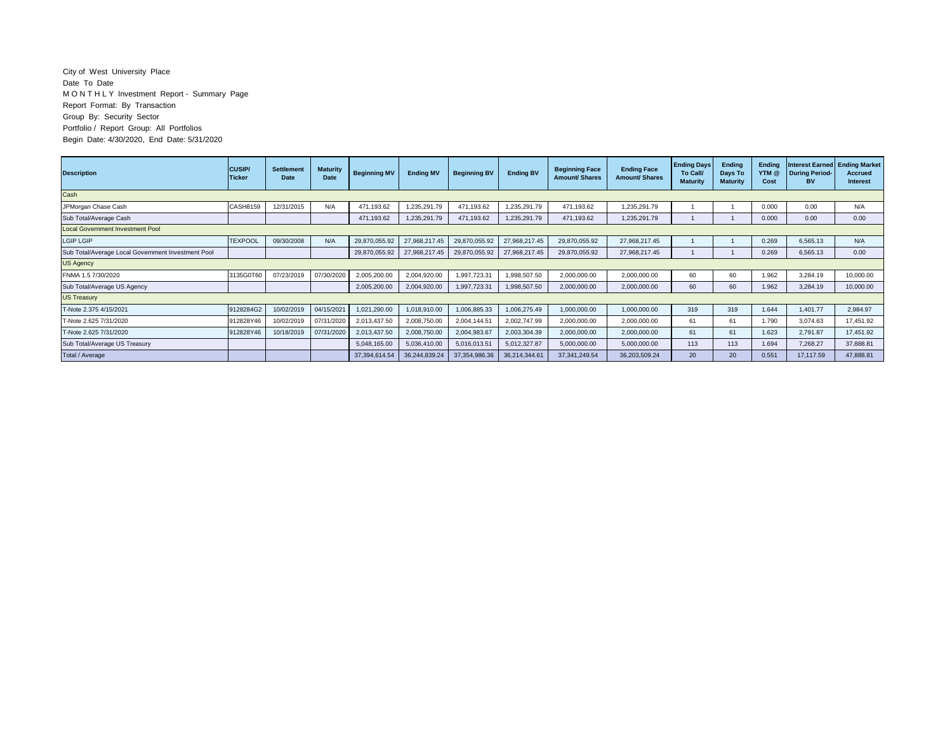## City of West University Place Date To Date M O N T H L Y Investment Report - Summary Page Report Format: By Transaction Group By: Security Sector Portfolio / Report Group: All Portfolios Begin Date: 4/30/2020, End Date: 5/31/2020

| <b>Description</b>                                 | <b>CUSIP/</b><br><b>Ticker</b> | <b>Settlement</b><br>Date | <b>Maturity</b><br><b>Date</b> | <b>Beginning MV</b> | <b>Ending MV</b> | <b>Beginning BV</b> | <b>Ending BV</b> | <b>Beginning Face</b><br><b>Amount/ Shares</b> | <b>Ending Face</b><br><b>Amount/ Shares</b> | <b>Ending Days</b><br>To Call/<br><b>Maturity</b> | Ending<br>Days To<br><b>Maturity</b> | <b>Ending</b><br>YTM @<br>Cost | <b>Interest Earned Ending Market</b><br><b>During Period-</b><br>BV | <b>Accrued</b><br><b>Interest</b> |
|----------------------------------------------------|--------------------------------|---------------------------|--------------------------------|---------------------|------------------|---------------------|------------------|------------------------------------------------|---------------------------------------------|---------------------------------------------------|--------------------------------------|--------------------------------|---------------------------------------------------------------------|-----------------------------------|
| Cash                                               |                                |                           |                                |                     |                  |                     |                  |                                                |                                             |                                                   |                                      |                                |                                                                     |                                   |
| JPMorgan Chase Cash                                | CASH8159                       | 12/31/2015                | N/A                            | 471,193.62          | 1,235,291.79     | 471,193.62          | 1,235,291.79     | 471,193.62                                     | 1,235,291.79                                |                                                   |                                      | 0.000                          | 0.00                                                                | N/A                               |
| Sub Total/Average Cash                             |                                |                           |                                | 471,193.62          | 1,235,291.79     | 471,193.62          | 1,235,291.79     | 471,193.62                                     | 1,235,291.79                                |                                                   |                                      | 0.000                          | 0.00                                                                | 0.00                              |
| <b>Local Government Investment Pool</b>            |                                |                           |                                |                     |                  |                     |                  |                                                |                                             |                                                   |                                      |                                |                                                                     |                                   |
| <b>LGIP LGIP</b>                                   | <b>TEXPOOL</b>                 | 09/30/2008                | N/A                            | 29,870,055.92       | 27,968,217.45    | 29,870,055.92       | 27,968,217.45    | 29,870,055.92                                  | 27,968,217.45                               |                                                   |                                      | 0.269                          | 6,565.13                                                            | N/A                               |
| Sub Total/Average Local Government Investment Pool |                                |                           |                                | 29,870,055.92       | 27,968,217.45    | 29,870,055.92       | 27,968,217.45    | 29,870,055.92                                  | 27,968,217.45                               |                                                   |                                      | 0.269                          | 6,565.13                                                            | 0.00                              |
| <b>US Agency</b>                                   |                                |                           |                                |                     |                  |                     |                  |                                                |                                             |                                                   |                                      |                                |                                                                     |                                   |
| FNMA 1.5 7/30/2020                                 | 3135G0T60                      | 07/23/2019                | 07/30/2020                     | 2,005,200.00        | 2,004,920.00     | 1,997,723.31        | 1,998,507.50     | 2,000,000.00                                   | 2,000,000.00                                | 60                                                | 60                                   | 1.962                          | 3,284.19                                                            | 10,000.00                         |
| Sub Total/Average US Agency                        |                                |                           |                                | 2,005,200.00        | 2,004,920.00     | 1,997,723.31        | 1,998,507.50     | 2,000,000.00                                   | 2,000,000.00                                | 60                                                | 60                                   | 1.962                          | 3,284.19                                                            | 10,000.00                         |
| <b>US Treasury</b>                                 |                                |                           |                                |                     |                  |                     |                  |                                                |                                             |                                                   |                                      |                                |                                                                     |                                   |
| T-Note 2.375 4/15/2021                             | 9128284G2                      | 10/02/2019                | 04/15/2021                     | 1,021,290.00        | 1,018,910.00     | 1,006,885.33        | 1,006,275.49     | 1,000,000.00                                   | 1,000,000.00                                | 319                                               | 319                                  | 1.644                          | 1,401.77                                                            | 2,984.97                          |
| F-Note 2.625 7/31/2020                             | 912828Y46                      | 10/02/2019                | 07/31/2020                     | 2,013,437.50        | 2,008,750.00     | 2,004,144.51        | 2,002,747.99     | 2,000,000.00                                   | 2,000,000.00                                | 61                                                | 61                                   | 1.790                          | 3,074.63                                                            | 17,451.92                         |
| T-Note 2.625 7/31/2020                             | 912828Y46                      | 10/18/2019                | 07/31/2020                     | 2,013,437.50        | 2,008,750.00     | 2,004,983.67        | 2,003,304.39     | 2,000,000.00                                   | 2,000,000.00                                | 61                                                | 61                                   | 1.623                          | 2,791.87                                                            | 17,451.92                         |
| Sub Total/Average US Treasury                      |                                |                           |                                | 5,048,165.00        | 5,036,410.00     | 5,016,013.51        | 5,012,327.87     | 5,000,000.00                                   | 5,000,000.00                                | 113                                               | 113                                  | 1.694                          | 7,268.27                                                            | 37,888.81                         |
| Total / Average                                    |                                |                           |                                | 37,394,614.54       | 36,244,839.24    | 37,354,986.36       | 36,214,344.61    | 37.341.249.54                                  | 36,203,509.24                               | 20                                                | 20                                   | 0.551                          | 17,117.59                                                           | 47,888.81                         |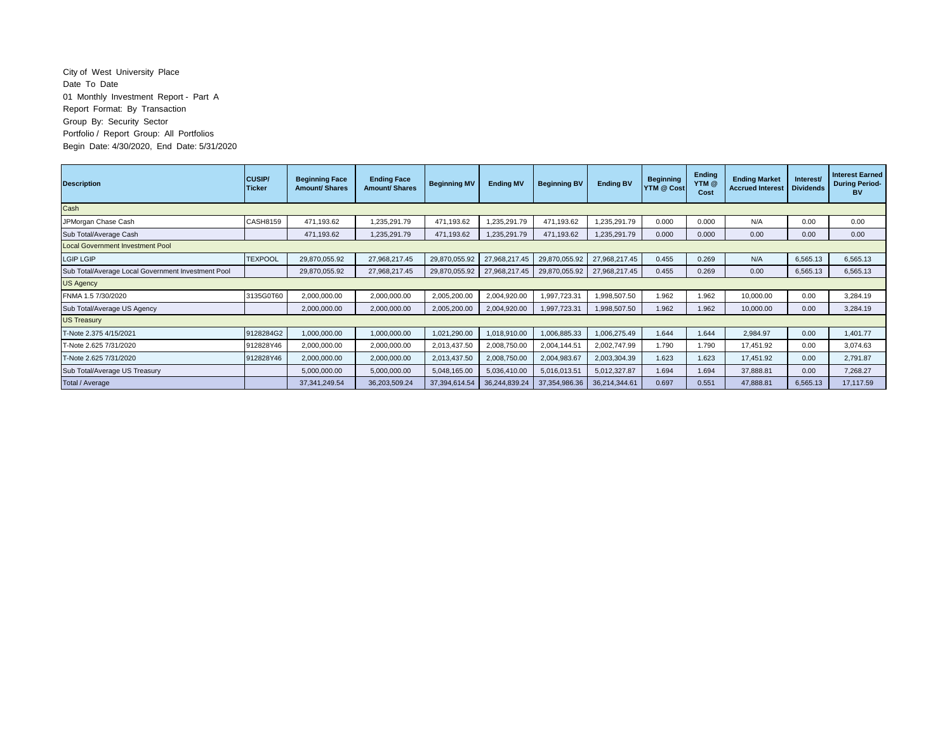## City of West University Place Date To Date 01 Monthly Investment Report - Part A Report Format: By Transaction Group By: Security Sector Portfolio / Report Group: All Portfolios Begin Date: 4/30/2020, End Date: 5/31/2020

| <b>Description</b>                                 | <b>CUSIP/</b><br><b>Ticker</b> | <b>Beginning Face</b><br><b>Amount/ Shares</b> | <b>Ending Face</b><br><b>Amount/Shares</b> | <b>Beginning MV</b> | <b>Ending MV</b> | <b>Beginning BV</b> | <b>Ending BV</b> | <b>Beginning</b><br>YTM @ Cost | <b>Ending</b><br>YTM <sub>@</sub><br>Cost | <b>Ending Market</b><br><b>Accrued Interest</b> | Interest/<br><b>Dividends</b> | <b>Interest Earned</b><br><b>During Period-</b><br>вv |
|----------------------------------------------------|--------------------------------|------------------------------------------------|--------------------------------------------|---------------------|------------------|---------------------|------------------|--------------------------------|-------------------------------------------|-------------------------------------------------|-------------------------------|-------------------------------------------------------|
| Cash                                               |                                |                                                |                                            |                     |                  |                     |                  |                                |                                           |                                                 |                               |                                                       |
| JPMorgan Chase Cash                                | <b>CASH8159</b>                | 471,193.62                                     | 1,235,291.79                               | 471,193.62          | 1,235,291.79     | 471,193.62          | 1,235,291.79     | 0.000                          | 0.000                                     | N/A                                             | 0.00                          | 0.00                                                  |
| Sub Total/Average Cash                             |                                | 471,193.62                                     | 1,235,291.79                               | 471,193.62          | 1,235,291.79     | 471,193.62          | 1,235,291.79     | 0.000                          | 0.000                                     | 0.00                                            | 0.00                          | 0.00                                                  |
| <b>Local Government Investment Pool</b>            |                                |                                                |                                            |                     |                  |                     |                  |                                |                                           |                                                 |                               |                                                       |
| LGIP LGIP                                          | <b>TEXPOOL</b>                 | 29,870,055.92                                  | 27,968,217.45                              | 29,870,055.92       | 27,968,217.45    | 29,870,055.92       | 27,968,217.45    | 0.455                          | 0.269                                     | N/A                                             | 6,565.13                      | 6,565.13                                              |
| Sub Total/Average Local Government Investment Pool |                                | 29,870,055.92                                  | 27,968,217.45                              | 29,870,055.92       | 27,968,217.45    | 29,870,055.92       | 27,968,217.45    | 0.455                          | 0.269                                     | 0.00                                            | 6,565.13                      | 6,565.13                                              |
| <b>US Agency</b>                                   |                                |                                                |                                            |                     |                  |                     |                  |                                |                                           |                                                 |                               |                                                       |
| FNMA 1.5 7/30/2020                                 | 3135G0T60                      | 2,000,000.00                                   | 2,000,000.00                               | 2,005,200.00        | 2,004,920.00     | 1,997,723.31        | 1,998,507.50     | 1.962                          | 1.962                                     | 10,000.00                                       | 0.00                          | 3,284.19                                              |
| Sub Total/Average US Agency                        |                                | 2,000,000.00                                   | 2,000,000.00                               | 2,005,200.00        | 2,004,920.00     | 1,997,723.31        | 1,998,507.50     | 1.962                          | 1.962                                     | 10,000.00                                       | 0.00                          | 3,284.19                                              |
| <b>US Treasury</b>                                 |                                |                                                |                                            |                     |                  |                     |                  |                                |                                           |                                                 |                               |                                                       |
| T-Note 2.375 4/15/2021                             | 9128284G2                      | 1,000,000.00                                   | 1,000,000.00                               | 1,021,290.00        | 1,018,910.00     | 1,006,885.33        | 1,006,275.49     | 1.644                          | 1.644                                     | 2,984.97                                        | 0.00                          | 1,401.77                                              |
| T-Note 2.625 7/31/2020<br>912828Y46                |                                | 2,000,000.00                                   | 2,000,000.00                               | 2,013,437.50        | 2,008,750.00     | 2,004,144.51        | 2,002,747.99     | 1.790                          | 1.790                                     | 17,451.92                                       | 0.00                          | 3,074.63                                              |
| T-Note 2.625 7/31/2020                             | 912828Y46                      | 2,000,000.00                                   | 2,000,000.00                               | 2,013,437.50        | 2,008,750.00     | 2,004,983.67        | 2,003,304.39     | 1.623                          | 1.623                                     | 17,451.92                                       | 0.00                          | 2,791.87                                              |
| Sub Total/Average US Treasury                      |                                | 5,000,000.00                                   | 5,000,000.00                               | 5,048,165.00        | 5,036,410.00     | 5,016,013.51        | 5,012,327.87     | 1.694                          | 1.694                                     | 37,888.81                                       | 0.00                          | 7,268.27                                              |
| Total / Average                                    |                                | 37, 341, 249.54                                | 36,203,509.24                              | 37,394,614.54       | 36,244,839.24    | 37,354,986.36       | 36,214,344.61    | 0.697                          | 0.551                                     | 47,888.81                                       | 6,565.13                      | 17.117.59                                             |